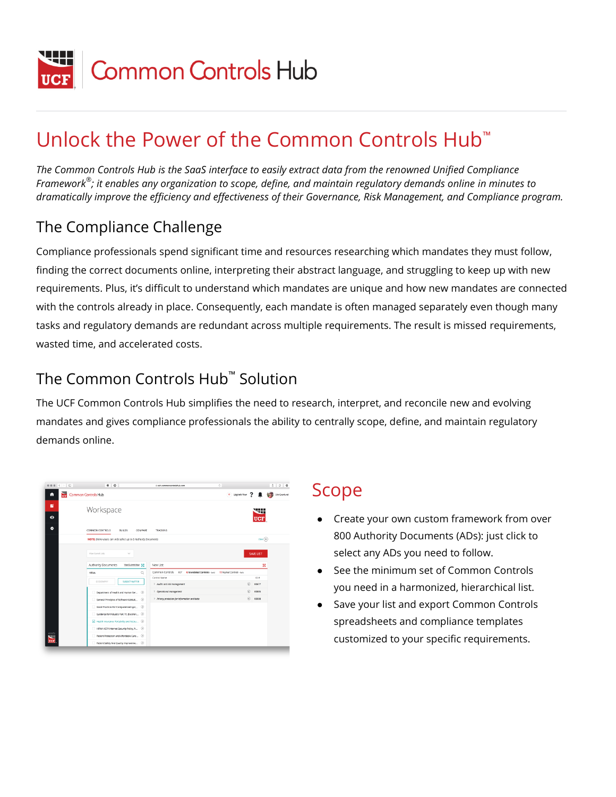

# Unlock the Power of the Common Controls Hub™

*The Common Controls Hub is the SaaS interface to easily extract data from the renowned Unified Compliance Framework® ; it enables any organization to scope, define, and maintain regulatory demands online in minutes to dramatically improve the efficiency and effectiveness of their Governance, Risk Management, and Compliance program.*

#### The Compliance Challenge

Compliance professionals spend significant time and resources researching which mandates they must follow, finding the correct documents online, interpreting their abstract language, and struggling to keep up with new requirements. Plus, it's difficult to understand which mandates are unique and how new mandates are connected with the controls already in place. Consequently, each mandate is often managed separately even though many tasks and regulatory demands are redundant across multiple requirements. The result is missed requirements, wasted time, and accelerated costs.

#### The Common Controls Hub™ Solution

The UCF Common Controls Hub simplifies the need to research, interpret, and reconcile new and evolving mandates and gives compliance professionals the ability to centrally scope, define, and maintain regulatory demands online.

| $0.0.0 \quad \langle \ \rangle \quad \Box$ | # 0                                                          | $\circ$<br>ii cch.commoncantrolehub.com                                       |                             | ô.<br>e<br>$\circ$ |
|--------------------------------------------|--------------------------------------------------------------|-------------------------------------------------------------------------------|-----------------------------|--------------------|
| $\frac{1}{10}$<br>n                        | Common Controls Hub                                          |                                                                               | + Upgrade Now               | Erik Grankund      |
| в                                          | Workspace                                                    |                                                                               |                             | ,,,,,<br>ستخط      |
| $\bullet$                                  |                                                              |                                                                               |                             | <b>UCF</b>         |
| ۰                                          | COMMON CONTROLS<br><b>BUILDS</b><br>COMPARE                  | TRACKING                                                                      |                             |                    |
|                                            | NOTE: Demo users can only select up to 5 Authority Documents |                                                                               |                             | Cone (x)           |
|                                            | View Saved Lists<br>$\sim$                                   |                                                                               |                             | SAVE LIST          |
|                                            | Authority Documents<br>ViewSubmit New 54                     | New List                                                                      |                             | ×                  |
|                                            | $\Omega$<br><b>HPAA</b>                                      | Common Controls<br><b>6 Mandated Controls - Insid</b><br>KEY.<br>Control Name | 10 Amplied Controls - Irwin | ID #               |
|                                            | GEOGRAPHY<br><b>SUBJECT MATTER</b>                           | > Audits and risk management                                                  | $\circledcirc$              | 00677              |
|                                            | Department of Health and Human Ser (i)                       | > Operational management                                                      | $\circ$                     | 00805              |
|                                            | General Principles of Software Validati (                    | > Privacy protection for information and data                                 | $\left(\overline{t}\right)$ | 00008              |
|                                            | Good Practices For Computerized syst (i)                     |                                                                               |                             |                    |
|                                            | Guidance for Industry Part 11, Electron (                    |                                                                               |                             |                    |
|                                            | 7 Health Insurance Portability and Accou (3)                 |                                                                               |                             |                    |
| powered by                                 | HPAA HCFA Internet Security Policy, N (                      |                                                                               |                             |                    |
| é                                          | Patient Protection and Affordable Care (2)                   |                                                                               |                             |                    |
| UCF                                        | Patient Safety And Quality Improveme (4)                     |                                                                               |                             |                    |

#### Scope

- Create your own custom framework from over 800 Authority Documents (ADs): just click to select any ADs you need to follow.
- See the minimum set of Common Controls you need in a harmonized, hierarchical list.
- Save your list and export Common Controls spreadsheets and compliance templates customized to your specific requirements.